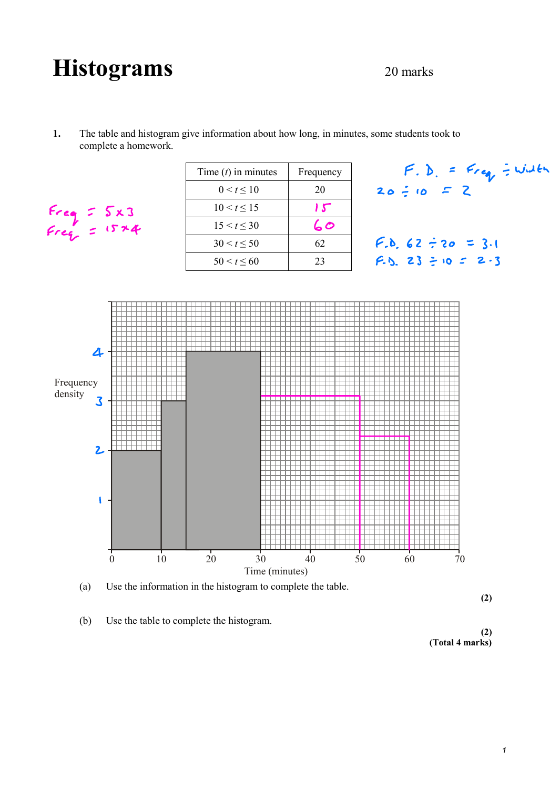## Histograms 20 marks



| $F_{reg} = 5x3$<br>$F_{reg} = 15*4$ | Time $(t)$ in minutes | Frequency |
|-------------------------------------|-----------------------|-----------|
|                                     | $0 < t \leq 10$       | 20        |
|                                     | $10 < t \le 15$       | 15        |
|                                     | $15 < t \leq 30$      | 60        |
|                                     | $30 < t \leq 50$      | 62        |
|                                     | $50 < t \leq 60$      | 23        |





(a) Use the information in the histogram to complete the table.

**(2)**

(b) Use the table to complete the histogram.

**(2) (Total 4 marks)**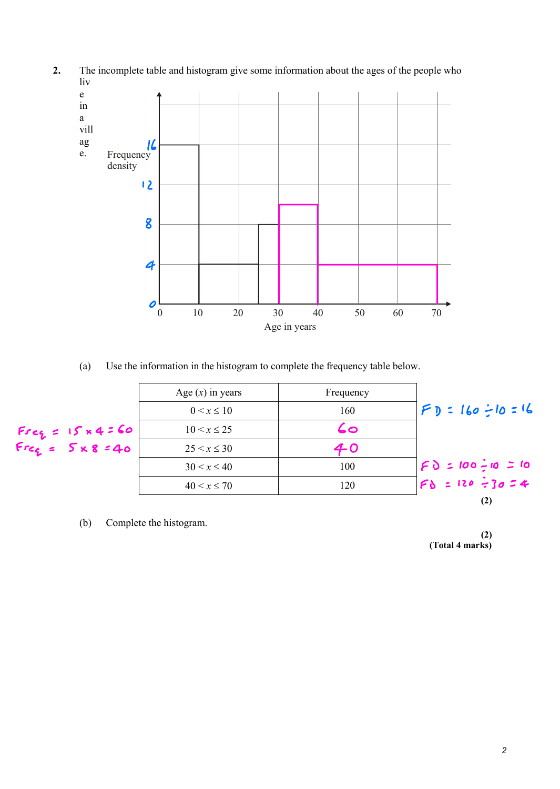

**2.** The incomplete table and histogram give some information about the ages of the people who liv

(a) Use the information in the histogram to complete the frequency table below.



(b) Complete the histogram.

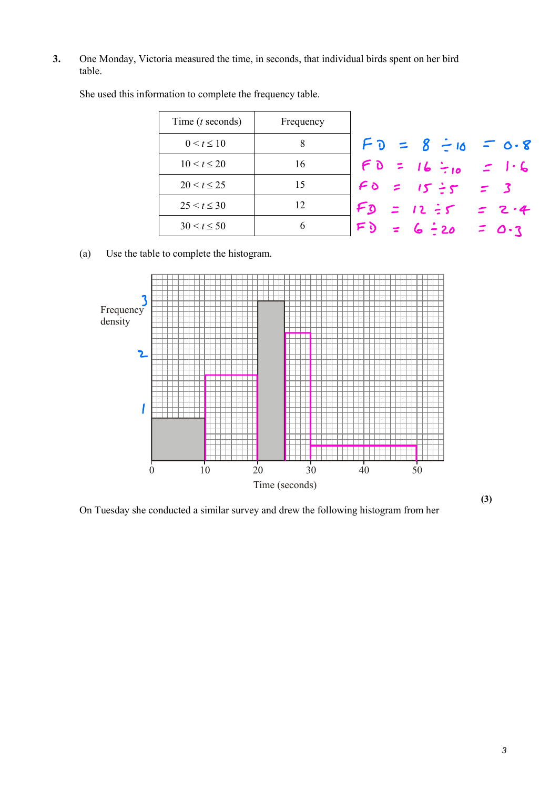**3.** One Monday, Victoria measured the time, in seconds, that individual birds spent on her bird table.

| Time $(t$ seconds) | Frequency |                                 |         |
|--------------------|-----------|---------------------------------|---------|
| $0 < t \leq 10$    | 8         | $FD = 8 \div 10 = 0.8$          |         |
| $10 < t \leq 20$   | 16        | $FD = 16 \div_{10} = 1.6$       |         |
| $20 < t \le 25$    | 15        | $F0 = 15 \div 5 = 3$            |         |
| $25 < t \leq 30$   | 12        | $F_0$ = 12 = 5 = 2.4            |         |
| $30 < t \le 50$    | 6         | F <sub>0</sub><br>$= 6 \div 20$ | $=$ 0.3 |
|                    |           |                                 |         |

She used this information to complete the frequency table.

(a) Use the table to complete the histogram.



On Tuesday she conducted a similar survey and drew the following histogram from her

**(3)**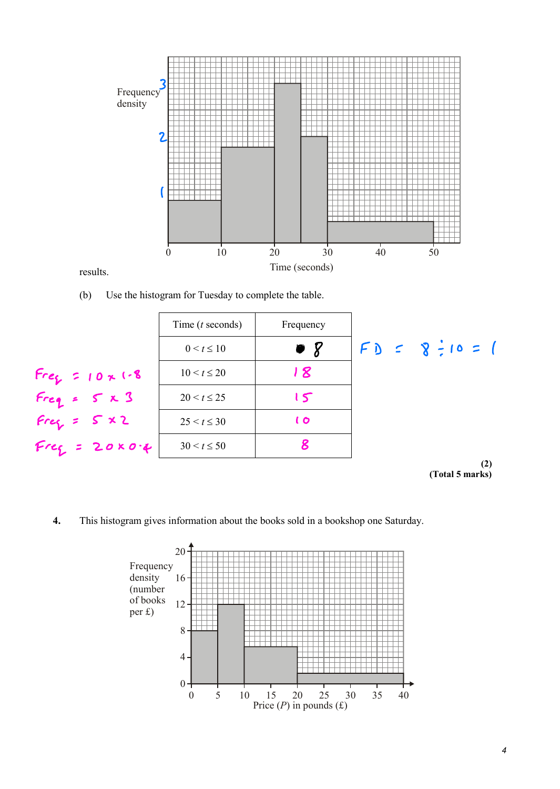

results.

(b) Use the histogram for Tuesday to complete the table.

|                       | Time $(t$ seconds) | Frequency      |                 |
|-----------------------|--------------------|----------------|-----------------|
|                       | $0 < t \leq 10$    | $\bullet$ 8    | $FD = 8:10 = 1$ |
| $Fre_{f} = 10 x$ (.8) | $10 < t \le 20$    | 18             |                 |
| $Freq = S \times 3$   | $20 < t \le 25$    | 15             |                 |
| $Fref = S \times 2$   | $25 < t \leq 30$   | $\mathfrak{c}$ |                 |
| $Freg = 20004$        | $30 < t \le 50$    |                |                 |
|                       |                    |                | (2)             |

**(Total 5 marks)**

**4.** This histogram gives information about the books sold in a bookshop one Saturday.

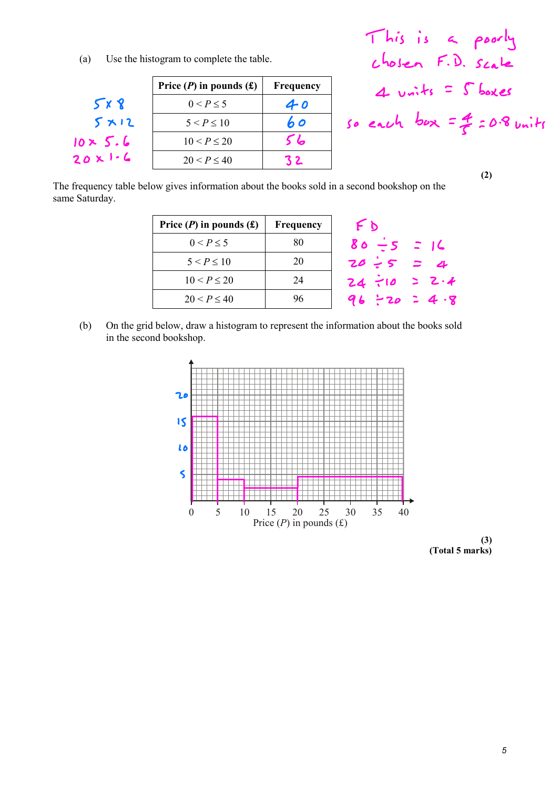(a) Use the histogram to complete the table.

|                 | Price $(P)$ in pounds $(f)$ | Frequency | $4 \text{ units} = 5$ boxes   |
|-----------------|-----------------------------|-----------|-------------------------------|
| 5x8             | $0 < P \leq 5$              | 40        |                               |
| 5x12            | $5 < P \le 10$              | 60        | so each box = $4 = 0.8$ units |
| $10 \times 5.6$ | $10 < P \le 20$             | 56        |                               |
| 20x1.6          | $20 < P \leq 40$            | 32        |                               |
|                 |                             |           | $\sim$                        |

This is <sup>a</sup> poorly chosen F D Scale 4 units  $=$   $S$  boxes

**(2)**

The frequency table below gives information about the books sold in a second bookshop on the same Saturday.

| Price $(P)$ in pounds $(f)$ | Frequency | FD                 |
|-----------------------------|-----------|--------------------|
| $0 < P \leq 5$              | 80        | $80 - 5 = 16$      |
| $5 < P \le 10$              | 20        | $20:5 = 4$         |
| $10 < P \le 20$             | 24        | $24 - 10 > 2.4$    |
| $20 < P \le 40$             | 96        | $96 \div 20 = 4.9$ |
|                             |           |                    |

(b) On the grid below, draw a histogram to represent the information about the books sold in the second bookshop.



**(3) (Total 5 marks)**